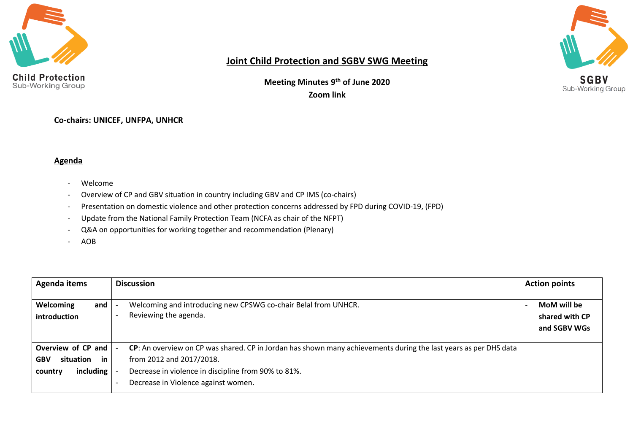



### **Joint Child Protection and SGBV SWG Meeting**

**Meeting Minutes 9 th of June 2020 Zoom link**

**Co-chairs: UNICEF, UNFPA, UNHCR** 

#### **Agenda**

- Welcome
- Overview of CP and GBV situation in country including GBV and CP IMS (co-chairs)
- Presentation on domestic violence and other protection concerns addressed by FPD during COVID-19, (FPD)
- Update from the National Family Protection Team (NCFA as chair of the NFPT)
- Q&A on opportunities for working together and recommendation (Plenary)
- AOB

| Agenda items                                                                | <b>Discussion</b>                                                                                                                                                                                                                          | <b>Action points</b>                          |  |
|-----------------------------------------------------------------------------|--------------------------------------------------------------------------------------------------------------------------------------------------------------------------------------------------------------------------------------------|-----------------------------------------------|--|
| <b>Welcoming</b><br>and<br>introduction                                     | Welcoming and introducing new CPSWG co-chair Belal from UNHCR.<br>Reviewing the agenda.                                                                                                                                                    | MoM will be<br>shared with CP<br>and SGBV WGs |  |
| Overview of CP and<br>situation<br>in<br><b>GBV</b><br>including<br>country | CP: An overview on CP was shared. CP in Jordan has shown many achievements during the last years as per DHS data<br>from 2012 and 2017/2018.<br>Decrease in violence in discipline from 90% to 81%.<br>Decrease in Violence against women. |                                               |  |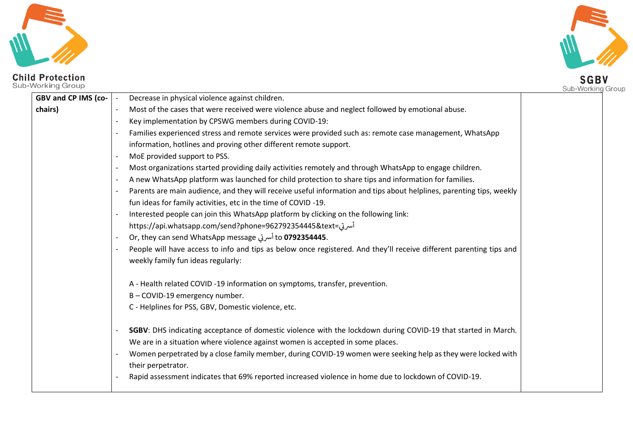





| o-Working Group     |                                                                                                                                                  | Sub-Working Group |
|---------------------|--------------------------------------------------------------------------------------------------------------------------------------------------|-------------------|
| GBV and CP IMS (co- | Decrease in physical violence against children.                                                                                                  |                   |
| chairs)             | Most of the cases that were received were violence abuse and neglect followed by emotional abuse.                                                |                   |
|                     | Key implementation by CPSWG members during COVID-19:                                                                                             |                   |
|                     | Families experienced stress and remote services were provided such as: remote case management, WhatsApp                                          |                   |
|                     | information, hotlines and proving other different remote support.                                                                                |                   |
|                     | MoE provided support to PSS.<br>$\overline{\phantom{a}}$                                                                                         |                   |
|                     | Most organizations started providing daily activities remotely and through WhatsApp to engage children.<br>$\overline{\phantom{a}}$              |                   |
|                     | A new WhatsApp platform was launched for child protection to share tips and information for families.                                            |                   |
|                     | Parents are main audience, and they will receive useful information and tips about helplines, parenting tips, weekly<br>$\overline{\phantom{a}}$ |                   |
|                     | fun ideas for family activities, etc in the time of COVID-19.                                                                                    |                   |
|                     | Interested people can join this WhatsApp platform by clicking on the following link:                                                             |                   |
|                     | أسرتى=https://api.whatsapp.com/send?phone=962792354445&text                                                                                      |                   |
|                     | Or, they can send WhatsApp message أسرتى Or, they can send WhatsApp message                                                                      |                   |
|                     | People will have access to info and tips as below once registered. And they'll receive different parenting tips and                              |                   |
|                     | weekly family fun ideas regularly:                                                                                                               |                   |
|                     | A - Health related COVID -19 information on symptoms, transfer, prevention.                                                                      |                   |
|                     | B-COVID-19 emergency number.                                                                                                                     |                   |
|                     | C - Helplines for PSS, GBV, Domestic violence, etc.                                                                                              |                   |
|                     | SGBV: DHS indicating acceptance of domestic violence with the lockdown during COVID-19 that started in March.                                    |                   |
|                     | We are in a situation where violence against women is accepted in some places.                                                                   |                   |
|                     | Women perpetrated by a close family member, during COVID-19 women were seeking help as they were locked with<br>their perpetrator.               |                   |
|                     | Rapid assessment indicates that 69% reported increased violence in home due to lockdown of COVID-19.                                             |                   |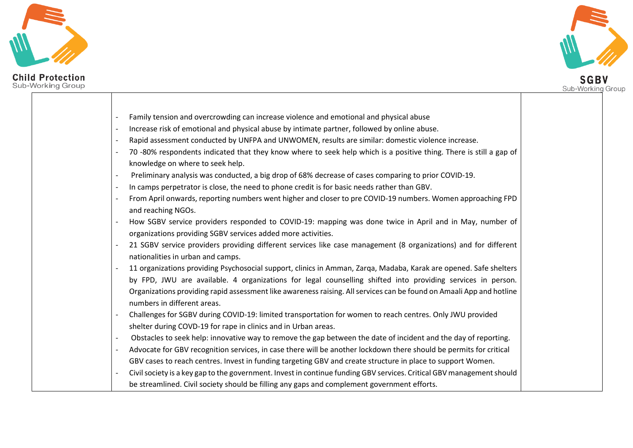

# **Child Protection**<br>Sub-Working Group

**SGBV**<br>Sub-Working Group

| Family tension and overcrowding can increase violence and emotional and physical abuse                                                                                      |
|-----------------------------------------------------------------------------------------------------------------------------------------------------------------------------|
| Increase risk of emotional and physical abuse by intimate partner, followed by online abuse.                                                                                |
| Rapid assessment conducted by UNFPA and UNWOMEN, results are similar: domestic violence increase.                                                                           |
| 70 -80% respondents indicated that they know where to seek help which is a positive thing. There is still a gap of<br>knowledge on where to seek help.                      |
| Preliminary analysis was conducted, a big drop of 68% decrease of cases comparing to prior COVID-19.                                                                        |
| In camps perpetrator is close, the need to phone credit is for basic needs rather than GBV.                                                                                 |
| From April onwards, reporting numbers went higher and closer to pre COVID-19 numbers. Women approaching FPD<br>and reaching NGOs.                                           |
| How SGBV service providers responded to COVID-19: mapping was done twice in April and in May, number of<br>organizations providing SGBV services added more activities.     |
| 21 SGBV service providers providing different services like case management (8 organizations) and for different<br>nationalities in urban and camps.                        |
| 11 organizations providing Psychosocial support, clinics in Amman, Zarqa, Madaba, Karak are opened. Safe shelters                                                           |
| by FPD, JWU are available. 4 organizations for legal counselling shifted into providing services in person.                                                                 |
| Organizations providing rapid assessment like awareness raising. All services can be found on Amaali App and hotline<br>numbers in different areas.                         |
| Challenges for SGBV during COVID-19: limited transportation for women to reach centres. Only JWU provided<br>shelter during COVD-19 for rape in clinics and in Urban areas. |
| Obstacles to seek help: innovative way to remove the gap between the date of incident and the day of reporting.                                                             |
| Advocate for GBV recognition services, in case there will be another lockdown there should be permits for critical                                                          |
| GBV cases to reach centres. Invest in funding targeting GBV and create structure in place to support Women.                                                                 |
| Civil society is a key gap to the government. Invest in continue funding GBV services. Critical GBV management should                                                       |
| be streamlined. Civil society should be filling any gaps and complement government efforts.                                                                                 |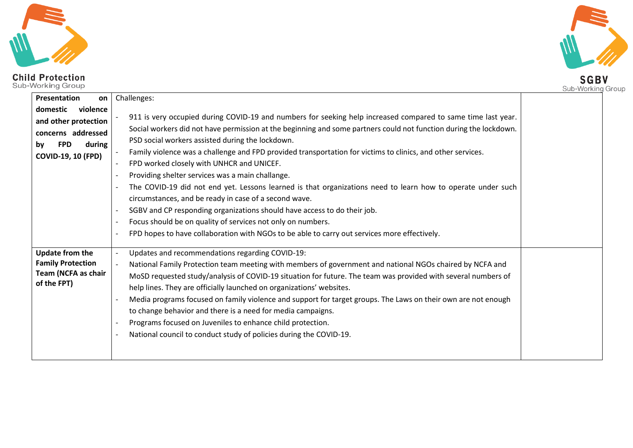

# **SGBV**

| l-Working Group                                                                                                               |                                                                                                                                                                                                                                                                                                                                                                                                                                                                                                                                                                                                                                                                                                                                                                                                                                                                                                                          | Sub-Working Group |
|-------------------------------------------------------------------------------------------------------------------------------|--------------------------------------------------------------------------------------------------------------------------------------------------------------------------------------------------------------------------------------------------------------------------------------------------------------------------------------------------------------------------------------------------------------------------------------------------------------------------------------------------------------------------------------------------------------------------------------------------------------------------------------------------------------------------------------------------------------------------------------------------------------------------------------------------------------------------------------------------------------------------------------------------------------------------|-------------------|
| Presentation<br>on                                                                                                            | Challenges:                                                                                                                                                                                                                                                                                                                                                                                                                                                                                                                                                                                                                                                                                                                                                                                                                                                                                                              |                   |
| violence<br>domestic<br>and other protection<br>concerns addressed<br><b>FPD</b><br>during<br>by<br><b>COVID-19, 10 (FPD)</b> | 911 is very occupied during COVID-19 and numbers for seeking help increased compared to same time last year.<br>Social workers did not have permission at the beginning and some partners could not function during the lockdown.<br>PSD social workers assisted during the lockdown.<br>Family violence was a challenge and FPD provided transportation for victims to clinics, and other services.<br>FPD worked closely with UNHCR and UNICEF.<br>Providing shelter services was a main challange.<br>The COVID-19 did not end yet. Lessons learned is that organizations need to learn how to operate under such<br>circumstances, and be ready in case of a second wave.<br>SGBV and CP responding organizations should have access to do their job.<br>Focus should be on quality of services not only on numbers.<br>FPD hopes to have collaboration with NGOs to be able to carry out services more effectively. |                   |
| <b>Update from the</b><br><b>Family Protection</b><br>Team (NCFA as chair<br>of the FPT)                                      | Updates and recommendations regarding COVID-19:<br>National Family Protection team meeting with members of government and national NGOs chaired by NCFA and<br>MoSD requested study/analysis of COVID-19 situation for future. The team was provided with several numbers of<br>help lines. They are officially launched on organizations' websites.<br>Media programs focused on family violence and support for target groups. The Laws on their own are not enough<br>to change behavior and there is a need for media campaigns.<br>Programs focused on Juveniles to enhance child protection.<br>National council to conduct study of policies during the COVID-19.                                                                                                                                                                                                                                                 |                   |

**Child Protection**<br>Sub-Working Group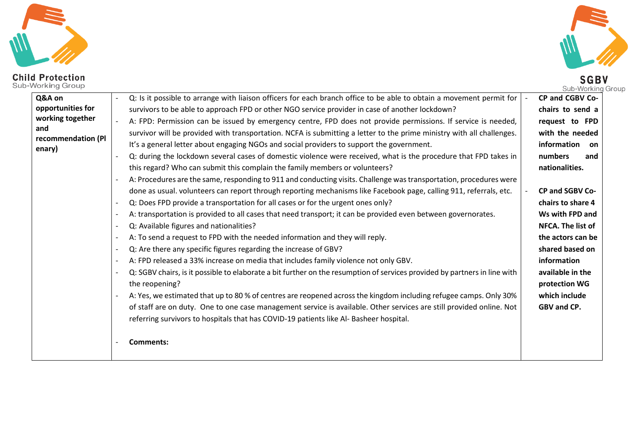



| <b>Child Protection</b><br>Sub-Working Group                                           |                                                                                                                                                                                                                                                                                                                                                                                                                                                                                                                                                                                                                                                                                                                                                                                                                                                                                                                                                                                                                                                                                                                                                                                                                                                                                                                                                                                                                                                                                                                                                                                                                                                                                                                                                                                                                                                                                                                                                                                                                   | <b>SGBV</b><br>Sub-Working Group                                                                                                                                                                                                                                                                                                              |
|----------------------------------------------------------------------------------------|-------------------------------------------------------------------------------------------------------------------------------------------------------------------------------------------------------------------------------------------------------------------------------------------------------------------------------------------------------------------------------------------------------------------------------------------------------------------------------------------------------------------------------------------------------------------------------------------------------------------------------------------------------------------------------------------------------------------------------------------------------------------------------------------------------------------------------------------------------------------------------------------------------------------------------------------------------------------------------------------------------------------------------------------------------------------------------------------------------------------------------------------------------------------------------------------------------------------------------------------------------------------------------------------------------------------------------------------------------------------------------------------------------------------------------------------------------------------------------------------------------------------------------------------------------------------------------------------------------------------------------------------------------------------------------------------------------------------------------------------------------------------------------------------------------------------------------------------------------------------------------------------------------------------------------------------------------------------------------------------------------------------|-----------------------------------------------------------------------------------------------------------------------------------------------------------------------------------------------------------------------------------------------------------------------------------------------------------------------------------------------|
| Q&A on<br>opportunities for<br>working together<br>and<br>recommendation (PI<br>enary) | Q: Is it possible to arrange with liaison officers for each branch office to be able to obtain a movement permit for<br>survivors to be able to approach FPD or other NGO service provider in case of another lockdown?<br>A: FPD: Permission can be issued by emergency centre, FPD does not provide permissions. If service is needed,<br>survivor will be provided with transportation. NCFA is submitting a letter to the prime ministry with all challenges.<br>It's a general letter about engaging NGOs and social providers to support the government.<br>Q: during the lockdown several cases of domestic violence were received, what is the procedure that FPD takes in<br>this regard? Who can submit this complain the family members or volunteers?<br>A: Procedures are the same, responding to 911 and conducting visits. Challenge was transportation, procedures were<br>done as usual. volunteers can report through reporting mechanisms like Facebook page, calling 911, referrals, etc.<br>Q: Does FPD provide a transportation for all cases or for the urgent ones only?<br>A: transportation is provided to all cases that need transport; it can be provided even between governorates.<br>Q: Available figures and nationalities?<br>A: To send a request to FPD with the needed information and they will reply.<br>Q: Are there any specific figures regarding the increase of GBV?<br>A: FPD released a 33% increase on media that includes family violence not only GBV.<br>Q: SGBV chairs, is it possible to elaborate a bit further on the resumption of services provided by partners in line with<br>the reopening?<br>A: Yes, we estimated that up to 80 % of centres are reopened across the kingdom including refugee camps. Only 30%<br>of staff are on duty. One to one case management service is available. Other services are still provided online. Not<br>referring survivors to hospitals that has COVID-19 patients like Al- Basheer hospital.<br><b>Comments:</b> | CP and CGBV Co-<br>chairs to send a<br>request to FPD<br>with the needed<br>information<br>on<br>numbers<br>and<br>nationalities.<br>CP and SGBV Co-<br>chairs to share 4<br>Ws with FPD and<br>NFCA. The list of<br>the actors can be<br>shared based on<br>information<br>available in the<br>protection WG<br>which include<br>GBV and CP. |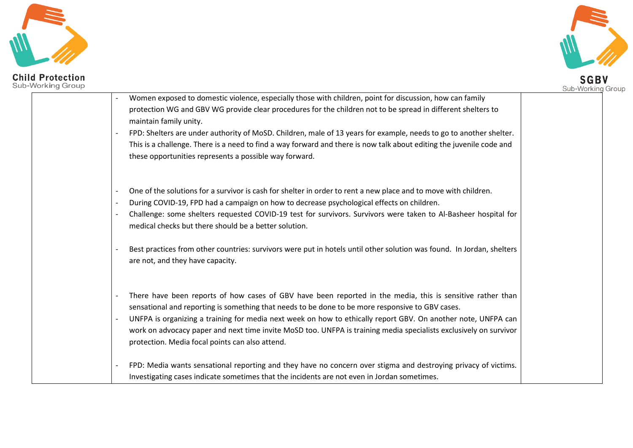



| <b>Child Protection</b><br>Sub-Working Group |                                                                                                                                                                                                                                                                                                                                                                                                                                                                                                                                                            | <b>SGBV</b><br>Sub-Working Group |
|----------------------------------------------|------------------------------------------------------------------------------------------------------------------------------------------------------------------------------------------------------------------------------------------------------------------------------------------------------------------------------------------------------------------------------------------------------------------------------------------------------------------------------------------------------------------------------------------------------------|----------------------------------|
|                                              | Women exposed to domestic violence, especially those with children, point for discussion, how can family<br>protection WG and GBV WG provide clear procedures for the children not to be spread in different shelters to<br>maintain family unity.<br>FPD: Shelters are under authority of MoSD. Children, male of 13 years for example, needs to go to another shelter.<br>This is a challenge. There is a need to find a way forward and there is now talk about editing the juvenile code and<br>these opportunities represents a possible way forward. |                                  |
|                                              | One of the solutions for a survivor is cash for shelter in order to rent a new place and to move with children.<br>During COVID-19, FPD had a campaign on how to decrease psychological effects on children.<br>Challenge: some shelters requested COVID-19 test for survivors. Survivors were taken to Al-Basheer hospital for<br>medical checks but there should be a better solution.<br>Best practices from other countries: survivors were put in hotels until other solution was found. In Jordan, shelters<br>are not, and they have capacity.      |                                  |
|                                              | There have been reports of how cases of GBV have been reported in the media, this is sensitive rather than<br>sensational and reporting is something that needs to be done to be more responsive to GBV cases.<br>UNFPA is organizing a training for media next week on how to ethically report GBV. On another note, UNFPA can<br>work on advocacy paper and next time invite MoSD too. UNFPA is training media specialists exclusively on survivor<br>protection. Media focal points can also attend.                                                    |                                  |
|                                              | FPD: Media wants sensational reporting and they have no concern over stigma and destroying privacy of victims.<br>Investigating cases indicate sometimes that the incidents are not even in Jordan sometimes.                                                                                                                                                                                                                                                                                                                                              |                                  |